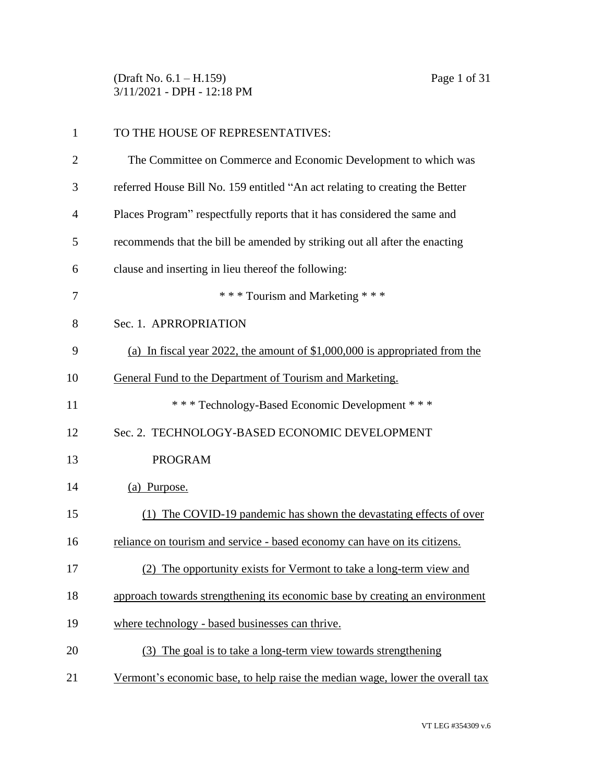(Draft No. 6.1 – H.159) Page 1 of 31 3/11/2021 - DPH - 12:18 PM

| $\mathbf{1}$   | TO THE HOUSE OF REPRESENTATIVES:                                              |
|----------------|-------------------------------------------------------------------------------|
| $\overline{2}$ | The Committee on Commerce and Economic Development to which was               |
| 3              | referred House Bill No. 159 entitled "An act relating to creating the Better  |
| 4              | Places Program" respectfully reports that it has considered the same and      |
| 5              | recommends that the bill be amended by striking out all after the enacting    |
| 6              | clause and inserting in lieu thereof the following:                           |
| 7              | *** Tourism and Marketing ***                                                 |
| 8              | Sec. 1. APRROPRIATION                                                         |
| 9              | (a) In fiscal year 2022, the amount of \$1,000,000 is appropriated from the   |
| 10             | General Fund to the Department of Tourism and Marketing.                      |
| 11             | *** Technology-Based Economic Development ***                                 |
| 12             | Sec. 2. TECHNOLOGY-BASED ECONOMIC DEVELOPMENT                                 |
| 13             | <b>PROGRAM</b>                                                                |
| 14             | (a) Purpose.                                                                  |
| 15             | (1) The COVID-19 pandemic has shown the devastating effects of over           |
| 16             | reliance on tourism and service - based economy can have on its citizens.     |
| 17             | (2) The opportunity exists for Vermont to take a long-term view and           |
| 18             | approach towards strengthening its economic base by creating an environment   |
| 19             | where technology - based businesses can thrive.                               |
| 20             | (3) The goal is to take a long-term view towards strengthening                |
| 21             | Vermont's economic base, to help raise the median wage, lower the overall tax |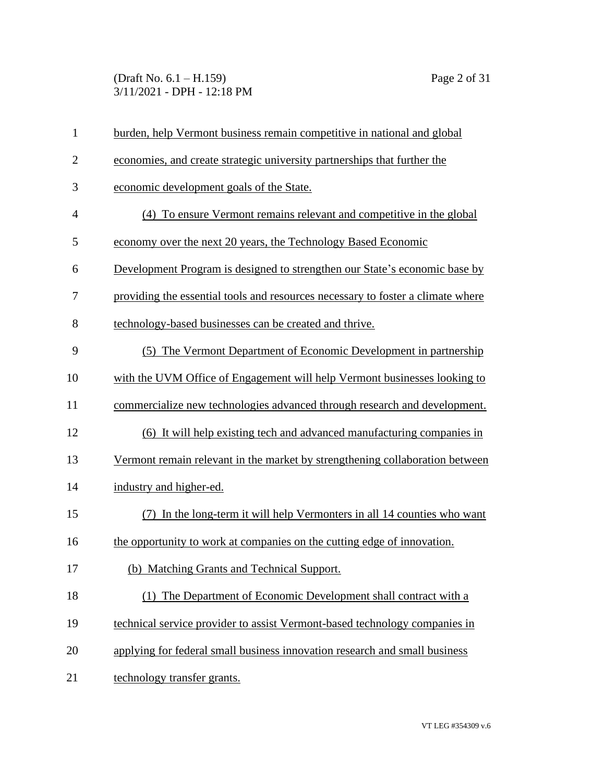### (Draft No. 6.1 – H.159) Page 2 of 31 3/11/2021 - DPH - 12:18 PM

| $\mathbf{1}$   | burden, help Vermont business remain competitive in national and global         |
|----------------|---------------------------------------------------------------------------------|
| $\overline{2}$ | economies, and create strategic university partnerships that further the        |
| 3              | economic development goals of the State.                                        |
| $\overline{4}$ | (4) To ensure Vermont remains relevant and competitive in the global            |
| 5              | economy over the next 20 years, the Technology Based Economic                   |
| 6              | Development Program is designed to strengthen our State's economic base by      |
| 7              | providing the essential tools and resources necessary to foster a climate where |
| 8              | technology-based businesses can be created and thrive.                          |
| 9              | (5) The Vermont Department of Economic Development in partnership               |
| 10             | with the UVM Office of Engagement will help Vermont businesses looking to       |
| 11             | commercialize new technologies advanced through research and development.       |
| 12             | (6) It will help existing tech and advanced manufacturing companies in          |
| 13             | Vermont remain relevant in the market by strengthening collaboration between    |
| 14             | industry and higher-ed.                                                         |
| 15             | In the long-term it will help Vermonters in all 14 counties who want<br>(7)     |
| 16             | the opportunity to work at companies on the cutting edge of innovation.         |
| 17             | (b) Matching Grants and Technical Support.                                      |
| 18             | The Department of Economic Development shall contract with a<br>(1)             |
| 19             | technical service provider to assist Vermont-based technology companies in      |
| 20             | applying for federal small business innovation research and small business      |
| 21             | technology transfer grants.                                                     |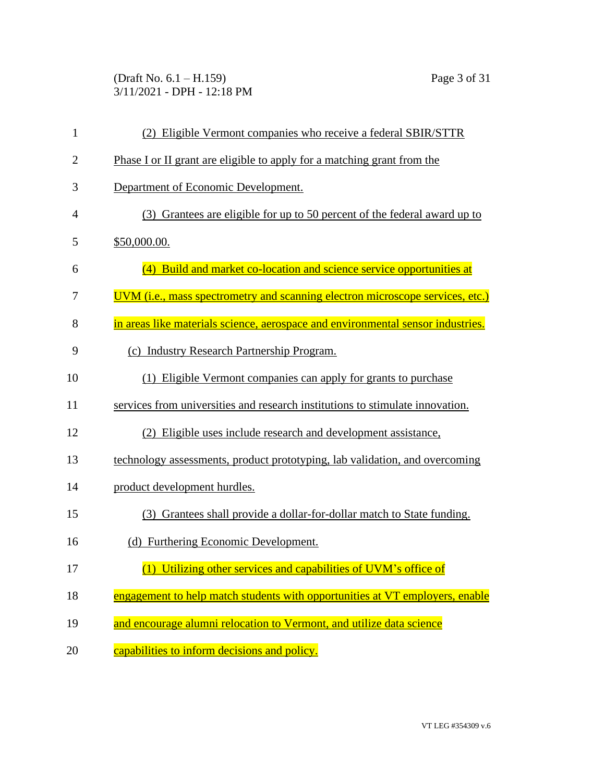(Draft No. 6.1 – H.159) Page 3 of 31 3/11/2021 - DPH - 12:18 PM

| $\mathbf{1}$   | (2) Eligible Vermont companies who receive a federal SBIR/STTR                       |
|----------------|--------------------------------------------------------------------------------------|
| $\overline{2}$ | Phase I or II grant are eligible to apply for a matching grant from the              |
| 3              | Department of Economic Development.                                                  |
| $\overline{4}$ | (3) Grantees are eligible for up to 50 percent of the federal award up to            |
| 5              | \$50,000.00.                                                                         |
| 6              | (4) Build and market co-location and science service opportunities at                |
| 7              | <u>UVM (i.e., mass spectrometry and scanning electron microscope services, etc.)</u> |
| 8              | in areas like materials science, aerospace and environmental sensor industries.      |
| 9              | (c) Industry Research Partnership Program.                                           |
| 10             | (1) Eligible Vermont companies can apply for grants to purchase                      |
| 11             | services from universities and research institutions to stimulate innovation.        |
| 12             | (2) Eligible uses include research and development assistance,                       |
| 13             | technology assessments, product prototyping, lab validation, and overcoming          |
| 14             | product development hurdles.                                                         |
| 15             | (3) Grantees shall provide a dollar-for-dollar match to State funding.               |
| 16             | (d) Furthering Economic Development.                                                 |
| 17             | (1) Utilizing other services and capabilities of UVM's office of                     |
| 18             | engagement to help match students with opportunities at VT employers, enable         |
| 19             | and encourage alumni relocation to Vermont, and utilize data science                 |
| 20             | capabilities to inform decisions and policy.                                         |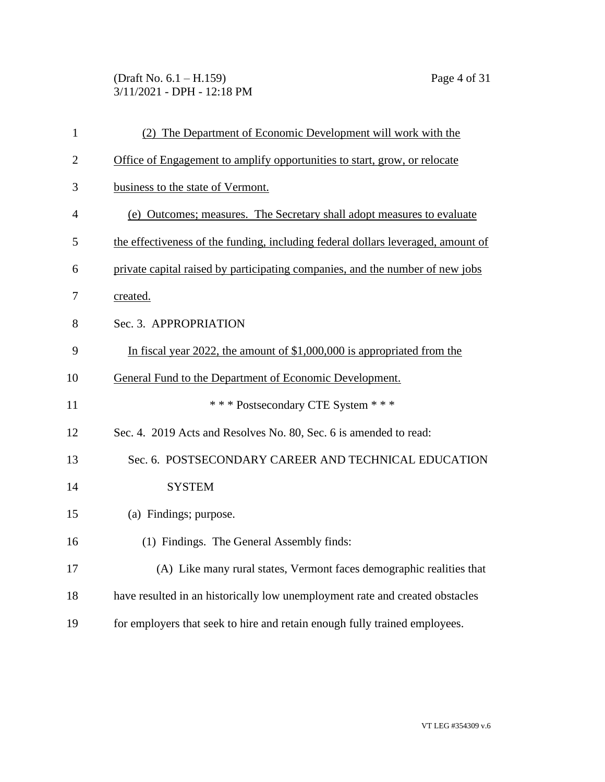(Draft No. 6.1 – H.159) Page 4 of 31 3/11/2021 - DPH - 12:18 PM

| $\mathbf{1}$   | (2) The Department of Economic Development will work with the                    |
|----------------|----------------------------------------------------------------------------------|
| $\overline{2}$ | Office of Engagement to amplify opportunities to start, grow, or relocate        |
| 3              | business to the state of Vermont.                                                |
| 4              | (e) Outcomes; measures. The Secretary shall adopt measures to evaluate           |
| 5              | the effectiveness of the funding, including federal dollars leveraged, amount of |
| 6              | private capital raised by participating companies, and the number of new jobs    |
| 7              | created.                                                                         |
| 8              | Sec. 3. APPROPRIATION                                                            |
| 9              | In fiscal year 2022, the amount of $$1,000,000$ is appropriated from the         |
| 10             | General Fund to the Department of Economic Development.                          |
| 11             | *** Postsecondary CTE System ***                                                 |
| 12             | Sec. 4. 2019 Acts and Resolves No. 80, Sec. 6 is amended to read:                |
| 13             | Sec. 6. POSTSECONDARY CAREER AND TECHNICAL EDUCATION                             |
| 14             | <b>SYSTEM</b>                                                                    |
| 15             | (a) Findings; purpose.                                                           |
| 16             | (1) Findings. The General Assembly finds:                                        |
| 17             | (A) Like many rural states, Vermont faces demographic realities that             |
| 18             | have resulted in an historically low unemployment rate and created obstacles     |
| 19             | for employers that seek to hire and retain enough fully trained employees.       |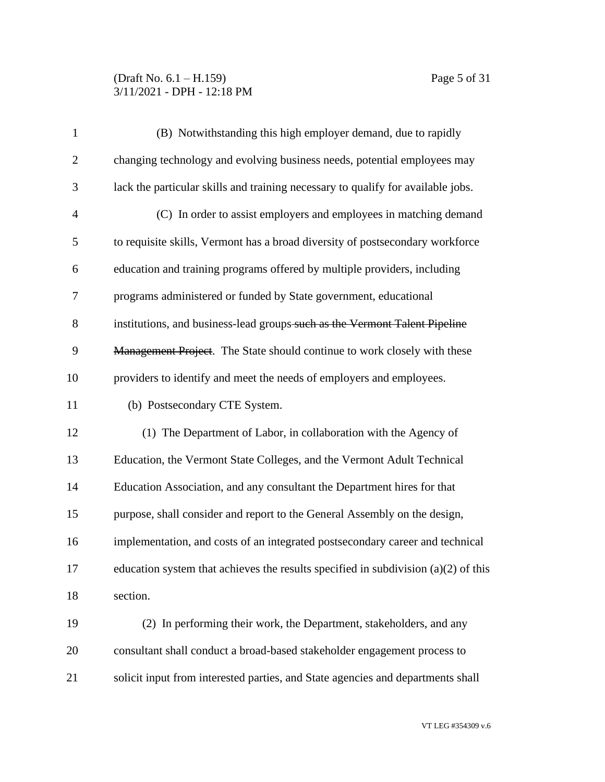## (Draft No. 6.1 – H.159) Page 5 of 31 3/11/2021 - DPH - 12:18 PM

| $\mathbf{1}$   | (B) Notwithstanding this high employer demand, due to rapidly                        |
|----------------|--------------------------------------------------------------------------------------|
| $\overline{2}$ | changing technology and evolving business needs, potential employees may             |
| 3              | lack the particular skills and training necessary to qualify for available jobs.     |
| $\overline{4}$ | (C) In order to assist employers and employees in matching demand                    |
| 5              | to requisite skills, Vermont has a broad diversity of postsecondary workforce        |
| 6              | education and training programs offered by multiple providers, including             |
| 7              | programs administered or funded by State government, educational                     |
| 8              | institutions, and business-lead groups-such as the Vermont Talent Pipeline           |
| 9              | Management Project. The State should continue to work closely with these             |
| 10             | providers to identify and meet the needs of employers and employees.                 |
| 11             | (b) Postsecondary CTE System.                                                        |
| 12             | (1) The Department of Labor, in collaboration with the Agency of                     |
| 13             | Education, the Vermont State Colleges, and the Vermont Adult Technical               |
| 14             | Education Association, and any consultant the Department hires for that              |
| 15             | purpose, shall consider and report to the General Assembly on the design,            |
| 16             | implementation, and costs of an integrated postsecondary career and technical        |
| 17             | education system that achieves the results specified in subdivision $(a)(2)$ of this |
| 18             | section.                                                                             |
| 19             | (2) In performing their work, the Department, stakeholders, and any                  |
| 20             | consultant shall conduct a broad-based stakeholder engagement process to             |
| 21             | solicit input from interested parties, and State agencies and departments shall      |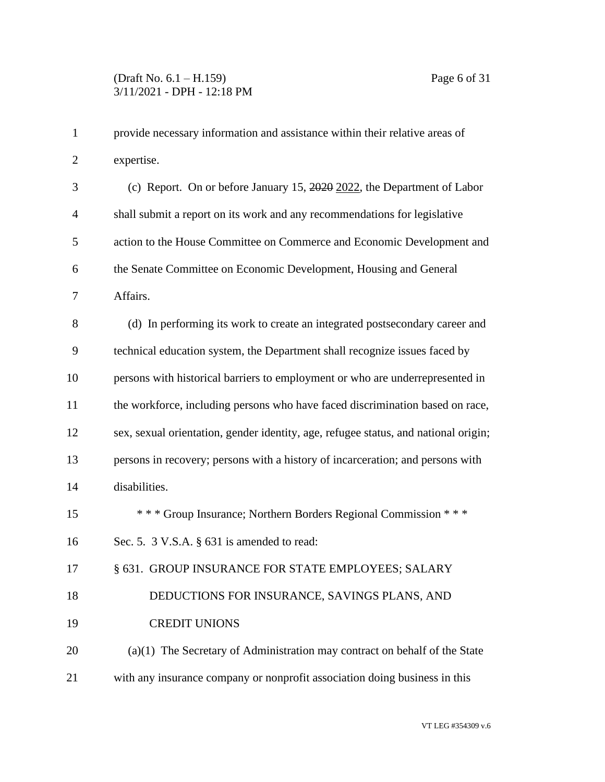| $\mathbf 1$    | provide necessary information and assistance within their relative areas of         |
|----------------|-------------------------------------------------------------------------------------|
| $\overline{2}$ | expertise.                                                                          |
| 3              | (c) Report. On or before January 15, 2020 2022, the Department of Labor             |
| $\overline{4}$ | shall submit a report on its work and any recommendations for legislative           |
| 5              | action to the House Committee on Commerce and Economic Development and              |
| 6              | the Senate Committee on Economic Development, Housing and General                   |
| 7              | Affairs.                                                                            |
| 8              | (d) In performing its work to create an integrated postsecondary career and         |
| 9              | technical education system, the Department shall recognize issues faced by          |
| 10             | persons with historical barriers to employment or who are underrepresented in       |
| 11             | the workforce, including persons who have faced discrimination based on race,       |
| 12             | sex, sexual orientation, gender identity, age, refugee status, and national origin; |
| 13             | persons in recovery; persons with a history of incarceration; and persons with      |
| 14             | disabilities.                                                                       |
| 15             | *** Group Insurance; Northern Borders Regional Commission ***                       |
| 16             | Sec. 5. 3 V.S.A. § 631 is amended to read:                                          |
| 17             | § 631. GROUP INSURANCE FOR STATE EMPLOYEES; SALARY                                  |
| 18             | DEDUCTIONS FOR INSURANCE, SAVINGS PLANS, AND                                        |
| 19             | <b>CREDIT UNIONS</b>                                                                |
| 20             | $(a)(1)$ The Secretary of Administration may contract on behalf of the State        |
| 21             | with any insurance company or nonprofit association doing business in this          |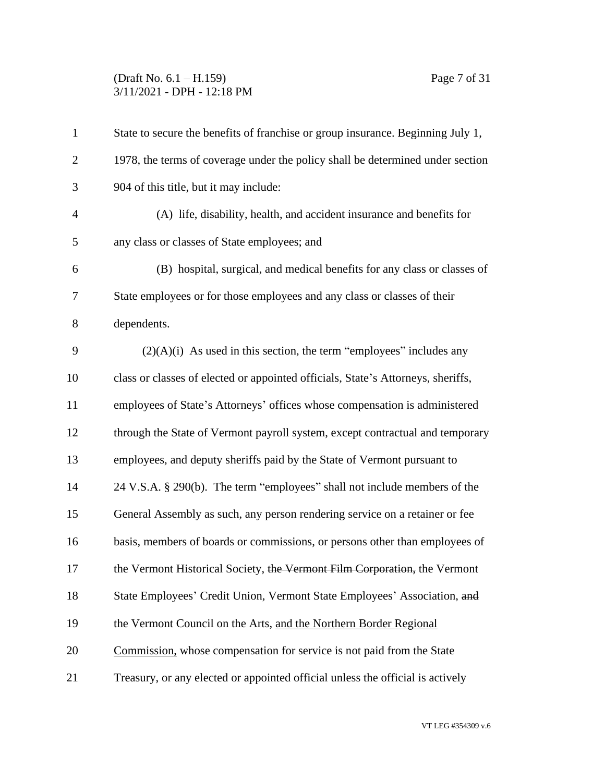## (Draft No. 6.1 – H.159) Page 7 of 31 3/11/2021 - DPH - 12:18 PM

| $\mathbf{1}$   | State to secure the benefits of franchise or group insurance. Beginning July 1,  |
|----------------|----------------------------------------------------------------------------------|
| $\overline{2}$ | 1978, the terms of coverage under the policy shall be determined under section   |
| 3              | 904 of this title, but it may include:                                           |
| 4              | (A) life, disability, health, and accident insurance and benefits for            |
| 5              | any class or classes of State employees; and                                     |
| 6              | (B) hospital, surgical, and medical benefits for any class or classes of         |
| 7              | State employees or for those employees and any class or classes of their         |
| 8              | dependents.                                                                      |
| 9              | $(2)(A)(i)$ As used in this section, the term "employees" includes any           |
| 10             | class or classes of elected or appointed officials, State's Attorneys, sheriffs, |
| 11             | employees of State's Attorneys' offices whose compensation is administered       |
| 12             | through the State of Vermont payroll system, except contractual and temporary    |
| 13             | employees, and deputy sheriffs paid by the State of Vermont pursuant to          |
| 14             | 24 V.S.A. § 290(b). The term "employees" shall not include members of the        |
| 15             | General Assembly as such, any person rendering service on a retainer or fee      |
| 16             | basis, members of boards or commissions, or persons other than employees of      |
| 17             | the Vermont Historical Society, the Vermont Film Corporation, the Vermont        |
| 18             | State Employees' Credit Union, Vermont State Employees' Association, and         |
| 19             | the Vermont Council on the Arts, and the Northern Border Regional                |
| 20             | Commission, whose compensation for service is not paid from the State            |
| 21             | Treasury, or any elected or appointed official unless the official is actively   |
|                |                                                                                  |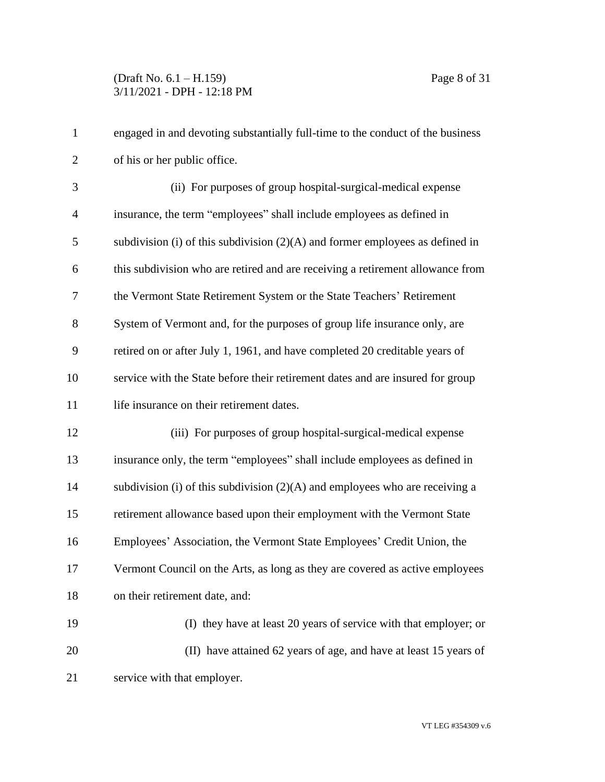## (Draft No. 6.1 – H.159) Page 8 of 31 3/11/2021 - DPH - 12:18 PM

| $\mathbf{1}$   | engaged in and devoting substantially full-time to the conduct of the business  |
|----------------|---------------------------------------------------------------------------------|
| $\overline{2}$ | of his or her public office.                                                    |
| 3              | (ii) For purposes of group hospital-surgical-medical expense                    |
| $\overline{4}$ | insurance, the term "employees" shall include employees as defined in           |
| 5              | subdivision (i) of this subdivision $(2)(A)$ and former employees as defined in |
| 6              | this subdivision who are retired and are receiving a retirement allowance from  |
| $\overline{7}$ | the Vermont State Retirement System or the State Teachers' Retirement           |
| 8              | System of Vermont and, for the purposes of group life insurance only, are       |
| 9              | retired on or after July 1, 1961, and have completed 20 creditable years of     |
| 10             | service with the State before their retirement dates and are insured for group  |
| 11             | life insurance on their retirement dates.                                       |
| 12             | (iii) For purposes of group hospital-surgical-medical expense                   |
| 13             | insurance only, the term "employees" shall include employees as defined in      |
| 14             | subdivision (i) of this subdivision (2)(A) and employees who are receiving a    |
| 15             | retirement allowance based upon their employment with the Vermont State         |
| 16             | Employees' Association, the Vermont State Employees' Credit Union, the          |
| 17             | Vermont Council on the Arts, as long as they are covered as active employees    |
| 18             | on their retirement date, and:                                                  |
| 19             | (I) they have at least 20 years of service with that employer; or               |
| 20             | (II) have attained 62 years of age, and have at least 15 years of               |
| 21             | service with that employer.                                                     |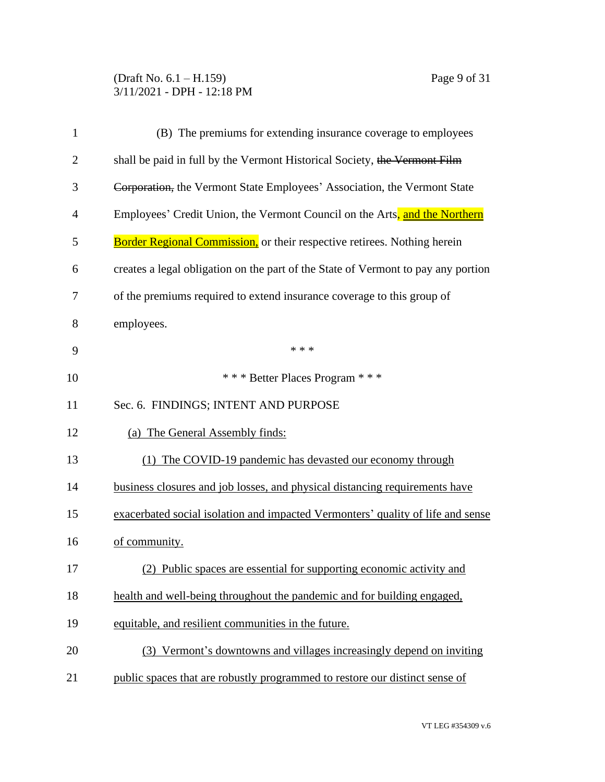### (Draft No. 6.1 – H.159) Page 9 of 31 3/11/2021 - DPH - 12:18 PM

| $\mathbf{1}$   | (B) The premiums for extending insurance coverage to employees                    |
|----------------|-----------------------------------------------------------------------------------|
| $\overline{2}$ | shall be paid in full by the Vermont Historical Society, the Vermont Film         |
| 3              | Corporation, the Vermont State Employees' Association, the Vermont State          |
| $\overline{4}$ | Employees' Credit Union, the Vermont Council on the Arts, and the Northern        |
| 5              | <b>Border Regional Commission, or their respective retirees. Nothing herein</b>   |
| 6              | creates a legal obligation on the part of the State of Vermont to pay any portion |
| 7              | of the premiums required to extend insurance coverage to this group of            |
| 8              | employees.                                                                        |
| 9              | * * *                                                                             |
| 10             | *** Better Places Program ***                                                     |
| 11             | Sec. 6. FINDINGS; INTENT AND PURPOSE                                              |
| 12             | (a) The General Assembly finds:                                                   |
| 13             | (1) The COVID-19 pandemic has devasted our economy through                        |
| 14             | business closures and job losses, and physical distancing requirements have       |
| 15             | exacerbated social isolation and impacted Vermonters' quality of life and sense   |
| 16             | of community.                                                                     |
| 17             | (2) Public spaces are essential for supporting economic activity and              |
| 18             | health and well-being throughout the pandemic and for building engaged,           |
| 19             | equitable, and resilient communities in the future.                               |
| 20             | (3) Vermont's downtowns and villages increasingly depend on inviting              |
| 21             | public spaces that are robustly programmed to restore our distinct sense of       |
|                |                                                                                   |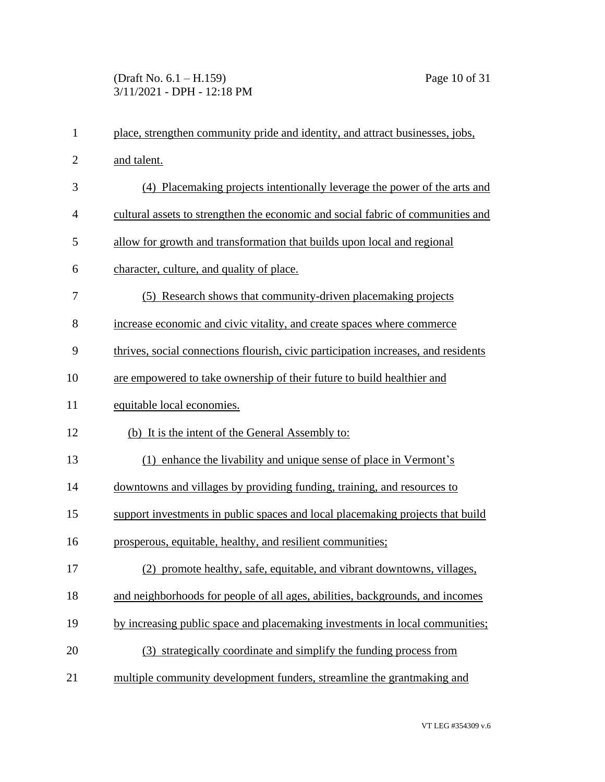# (Draft No. 6.1 – H.159) Page 10 of 31 3/11/2021 - DPH - 12:18 PM

| $\mathbf{1}$   | place, strengthen community pride and identity, and attract businesses, jobs,      |
|----------------|------------------------------------------------------------------------------------|
| $\overline{2}$ | and talent.                                                                        |
| 3              | (4) Placemaking projects intentionally leverage the power of the arts and          |
| 4              | cultural assets to strengthen the economic and social fabric of communities and    |
| 5              | allow for growth and transformation that builds upon local and regional            |
| 6              | character, culture, and quality of place.                                          |
| 7              | (5) Research shows that community-driven placemaking projects                      |
| 8              | increase economic and civic vitality, and create spaces where commerce             |
| 9              | thrives, social connections flourish, civic participation increases, and residents |
| 10             | are empowered to take ownership of their future to build healthier and             |
| 11             | equitable local economies.                                                         |
| 12             | (b) It is the intent of the General Assembly to:                                   |
| 13             | (1) enhance the livability and unique sense of place in Vermont's                  |
| 14             | downtowns and villages by providing funding, training, and resources to            |
| 15             | support investments in public spaces and local placemaking projects that build     |
| 16             | prosperous, equitable, healthy, and resilient communities;                         |
| 17             | (2) promote healthy, safe, equitable, and vibrant downtowns, villages,             |
| 18             | and neighborhoods for people of all ages, abilities, backgrounds, and incomes      |
| 19             | by increasing public space and placemaking investments in local communities;       |
| 20             | (3) strategically coordinate and simplify the funding process from                 |
| 21             | multiple community development funders, streamline the grantmaking and             |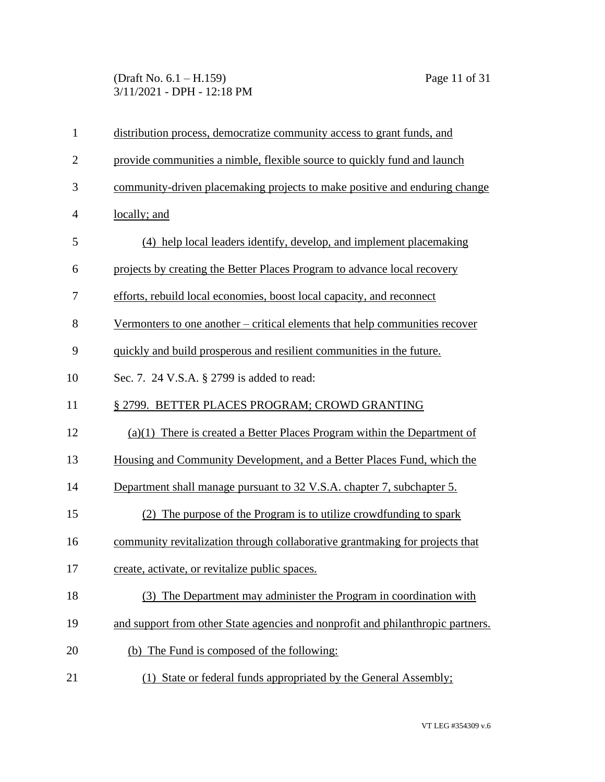### (Draft No. 6.1 – H.159) Page 11 of 31 3/11/2021 - DPH - 12:18 PM

| $\mathbf{1}$   | distribution process, democratize community access to grant funds, and          |
|----------------|---------------------------------------------------------------------------------|
| $\mathbf{2}$   | provide communities a nimble, flexible source to quickly fund and launch        |
| 3              | community-driven placemaking projects to make positive and enduring change      |
| $\overline{4}$ | locally; and                                                                    |
| 5              | (4) help local leaders identify, develop, and implement placemaking             |
| 6              | projects by creating the Better Places Program to advance local recovery        |
| 7              | efforts, rebuild local economies, boost local capacity, and reconnect           |
| 8              | Vermonters to one another – critical elements that help communities recover     |
| 9              | quickly and build prosperous and resilient communities in the future.           |
| 10             | Sec. 7. 24 V.S.A. § 2799 is added to read:                                      |
| 11             | § 2799. BETTER PLACES PROGRAM; CROWD GRANTING                                   |
| 12             | $(a)(1)$ There is created a Better Places Program within the Department of      |
| 13             | Housing and Community Development, and a Better Places Fund, which the          |
| 14             | Department shall manage pursuant to 32 V.S.A. chapter 7, subchapter 5.          |
| 15             | The purpose of the Program is to utilize crowdfunding to spark<br>(2)           |
| 16             | community revitalization through collaborative grantmaking for projects that    |
| 17             | create, activate, or revitalize public spaces.                                  |
| 18             | (3) The Department may administer the Program in coordination with              |
| 19             | and support from other State agencies and nonprofit and philanthropic partners. |
| 20             | (b) The Fund is composed of the following:                                      |
| 21             | (1) State or federal funds appropriated by the General Assembly;                |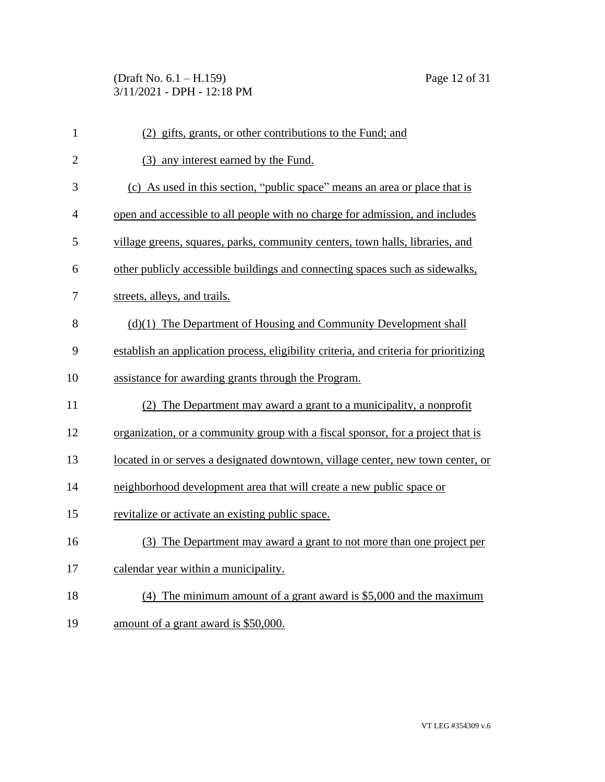(Draft No. 6.1 – H.159) Page 12 of 31 3/11/2021 - DPH - 12:18 PM

| $\mathbf{1}$   | (2) gifts, grants, or other contributions to the Fund; and                            |
|----------------|---------------------------------------------------------------------------------------|
| $\overline{2}$ | (3) any interest earned by the Fund.                                                  |
| 3              | (c) As used in this section, "public space" means an area or place that is            |
| $\overline{4}$ | open and accessible to all people with no charge for admission, and includes          |
| 5              | village greens, squares, parks, community centers, town halls, libraries, and         |
| 6              | other publicly accessible buildings and connecting spaces such as sidewalks,          |
| 7              | streets, alleys, and trails.                                                          |
| 8              | $(d)(1)$ The Department of Housing and Community Development shall                    |
| 9              | establish an application process, eligibility criteria, and criteria for prioritizing |
| 10             | assistance for awarding grants through the Program.                                   |
| 11             | (2) The Department may award a grant to a municipality, a nonprofit                   |
| 12             | organization, or a community group with a fiscal sponsor, for a project that is       |
| 13             | located in or serves a designated downtown, village center, new town center, or       |
| 14             | neighborhood development area that will create a new public space or                  |
| 15             | revitalize or activate an existing public space.                                      |
| 16             | (3) The Department may award a grant to not more than one project per                 |
| 17             | calendar year within a municipality.                                                  |
| 18             | (4) The minimum amount of a grant award is $$5,000$ and the maximum                   |
| 19             | amount of a grant award is \$50,000.                                                  |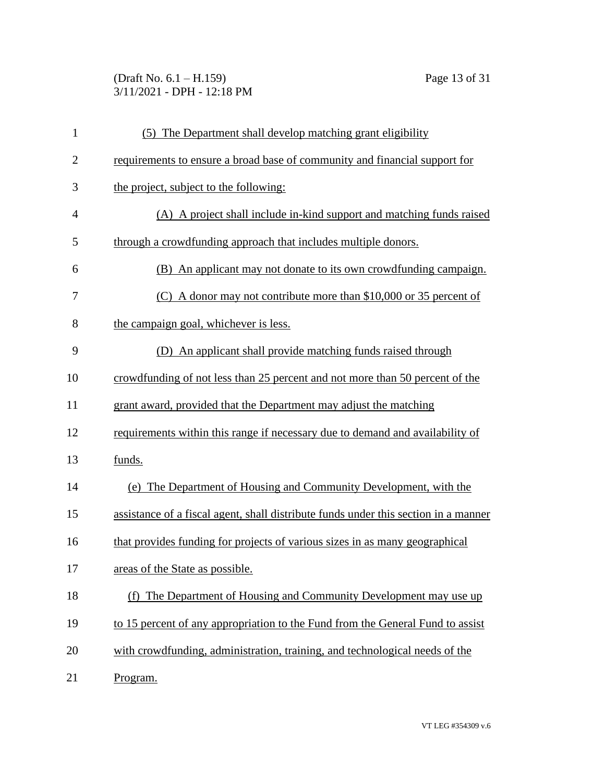(Draft No. 6.1 – H.159) Page 13 of 31 3/11/2021 - DPH - 12:18 PM

| $\mathbf{1}$   | (5) The Department shall develop matching grant eligibility                         |
|----------------|-------------------------------------------------------------------------------------|
| $\overline{2}$ | requirements to ensure a broad base of community and financial support for          |
| 3              | the project, subject to the following:                                              |
| $\overline{4}$ | (A) A project shall include in-kind support and matching funds raised               |
| 5              | through a crowdfunding approach that includes multiple donors.                      |
| 6              | (B) An applicant may not donate to its own crowdfunding campaign.                   |
| 7              | (C) A donor may not contribute more than $$10,000$ or 35 percent of                 |
| 8              | the campaign goal, whichever is less.                                               |
| 9              | (D) An applicant shall provide matching funds raised through                        |
| 10             | crowdfunding of not less than 25 percent and not more than 50 percent of the        |
| 11             | grant award, provided that the Department may adjust the matching                   |
| 12             | requirements within this range if necessary due to demand and availability of       |
| 13             | funds.                                                                              |
| 14             | (e) The Department of Housing and Community Development, with the                   |
| 15             | assistance of a fiscal agent, shall distribute funds under this section in a manner |
| 16             | that provides funding for projects of various sizes in as many geographical         |
| 17             | areas of the State as possible.                                                     |
| 18             | The Department of Housing and Community Development may use up<br>(f)               |
| 19             | to 15 percent of any appropriation to the Fund from the General Fund to assist      |
| 20             | with crowdfunding, administration, training, and technological needs of the         |
| 21             | Program.                                                                            |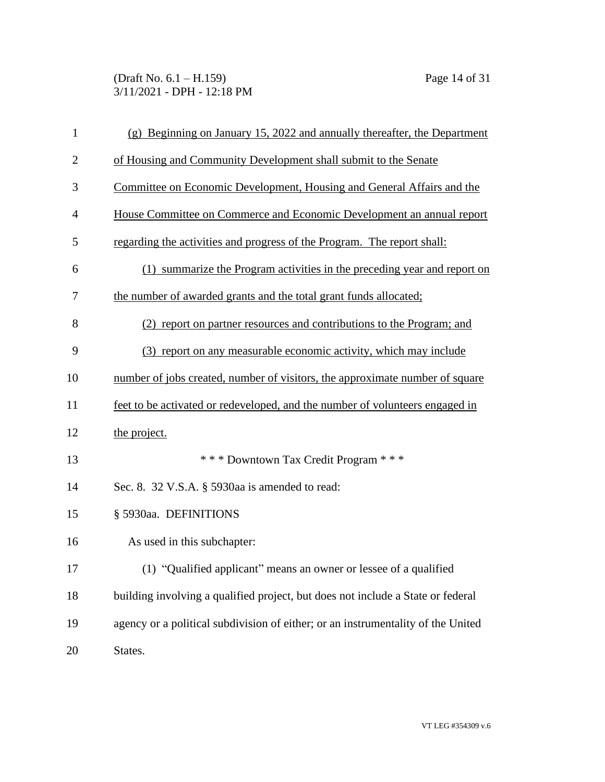(Draft No. 6.1 – H.159) Page 14 of 31 3/11/2021 - DPH - 12:18 PM

| $\mathbf{1}$   | $(g)$ Beginning on January 15, 2022 and annually thereafter, the Department      |
|----------------|----------------------------------------------------------------------------------|
| $\overline{2}$ | of Housing and Community Development shall submit to the Senate                  |
| 3              | Committee on Economic Development, Housing and General Affairs and the           |
| $\overline{4}$ | House Committee on Commerce and Economic Development an annual report            |
| 5              | regarding the activities and progress of the Program. The report shall:          |
| 6              | (1) summarize the Program activities in the preceding year and report on         |
| 7              | the number of awarded grants and the total grant funds allocated;                |
| 8              | (2) report on partner resources and contributions to the Program; and            |
| 9              | (3) report on any measurable economic activity, which may include                |
| 10             | number of jobs created, number of visitors, the approximate number of square     |
| 11             | feet to be activated or redeveloped, and the number of volunteers engaged in     |
| 12             | the project.                                                                     |
| 13             | *** Downtown Tax Credit Program ***                                              |
| 14             | Sec. 8. 32 V.S.A. § 5930aa is amended to read:                                   |
| 15             | § 5930aa. DEFINITIONS                                                            |
| 16             | As used in this subchapter:                                                      |
| 17             | (1) "Qualified applicant" means an owner or lessee of a qualified                |
| 18             | building involving a qualified project, but does not include a State or federal  |
| 19             | agency or a political subdivision of either; or an instrumentality of the United |
| 20             | States.                                                                          |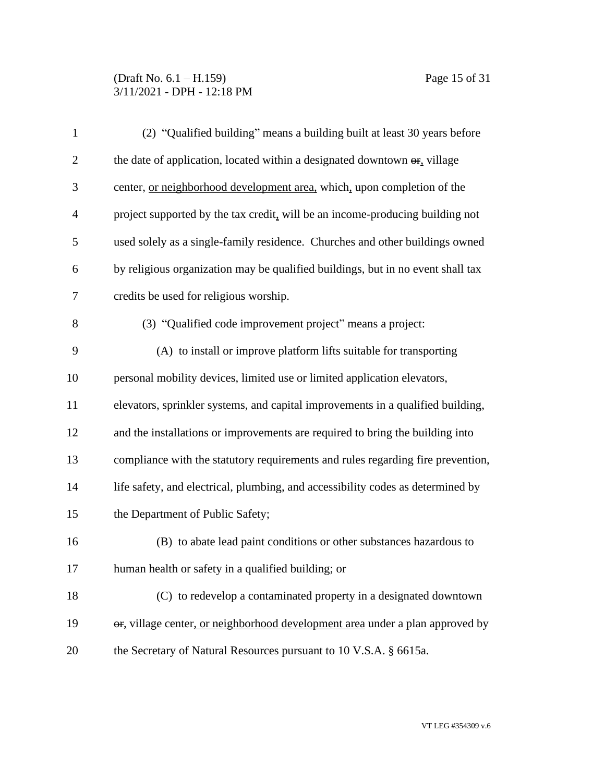## (Draft No. 6.1 – H.159) Page 15 of 31 3/11/2021 - DPH - 12:18 PM

| $\mathbf{1}$   | (2) "Qualified building" means a building built at least 30 years before         |
|----------------|----------------------------------------------------------------------------------|
| $\overline{2}$ | the date of application, located within a designated downtown $\Theta$ , village |
| 3              | center, or neighborhood development area, which, upon completion of the          |
| $\overline{4}$ | project supported by the tax credit, will be an income-producing building not    |
| 5              | used solely as a single-family residence. Churches and other buildings owned     |
| 6              | by religious organization may be qualified buildings, but in no event shall tax  |
| $\overline{7}$ | credits be used for religious worship.                                           |
| 8              | (3) "Qualified code improvement project" means a project:                        |
| 9              | (A) to install or improve platform lifts suitable for transporting               |
| 10             | personal mobility devices, limited use or limited application elevators,         |
| 11             | elevators, sprinkler systems, and capital improvements in a qualified building,  |
| 12             | and the installations or improvements are required to bring the building into    |
| 13             | compliance with the statutory requirements and rules regarding fire prevention,  |
| 14             | life safety, and electrical, plumbing, and accessibility codes as determined by  |
| 15             | the Department of Public Safety;                                                 |
| 16             | (B) to abate lead paint conditions or other substances hazardous to              |
| 17             | human health or safety in a qualified building; or                               |
| 18             | (C) to redevelop a contaminated property in a designated downtown                |
| 19             | or, village center, or neighborhood development area under a plan approved by    |
| 20             | the Secretary of Natural Resources pursuant to 10 V.S.A. § 6615a.                |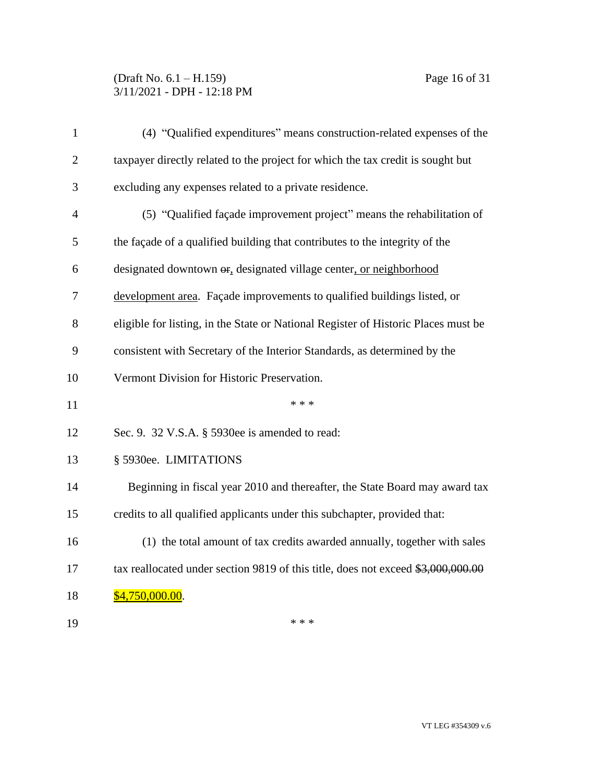## (Draft No. 6.1 – H.159) Page 16 of 31 3/11/2021 - DPH - 12:18 PM

| $\mathbf{1}$   | (4) "Qualified expenditures" means construction-related expenses of the              |
|----------------|--------------------------------------------------------------------------------------|
| $\overline{2}$ | taxpayer directly related to the project for which the tax credit is sought but      |
| 3              | excluding any expenses related to a private residence.                               |
| $\overline{4}$ | (5) "Qualified façade improvement project" means the rehabilitation of               |
| 5              | the façade of a qualified building that contributes to the integrity of the          |
| 6              | designated downtown $\Theta$ <sub>r</sub> designated village center, or neighborhood |
| 7              | development area. Façade improvements to qualified buildings listed, or              |
| 8              | eligible for listing, in the State or National Register of Historic Places must be   |
| 9              | consistent with Secretary of the Interior Standards, as determined by the            |
| 10             | Vermont Division for Historic Preservation.                                          |
| 11             | * * *                                                                                |
| 12             | Sec. 9. 32 V.S.A. § 5930ee is amended to read:                                       |
| 13             | § 5930ee. LIMITATIONS                                                                |
| 14             | Beginning in fiscal year 2010 and thereafter, the State Board may award tax          |
| 15             | credits to all qualified applicants under this subchapter, provided that:            |
| 16             | (1) the total amount of tax credits awarded annually, together with sales            |
| 17             | tax reallocated under section 9819 of this title, does not exceed \$3,000,000.00     |
| 18             | \$4,750,000.00.                                                                      |
| 19             | * * *                                                                                |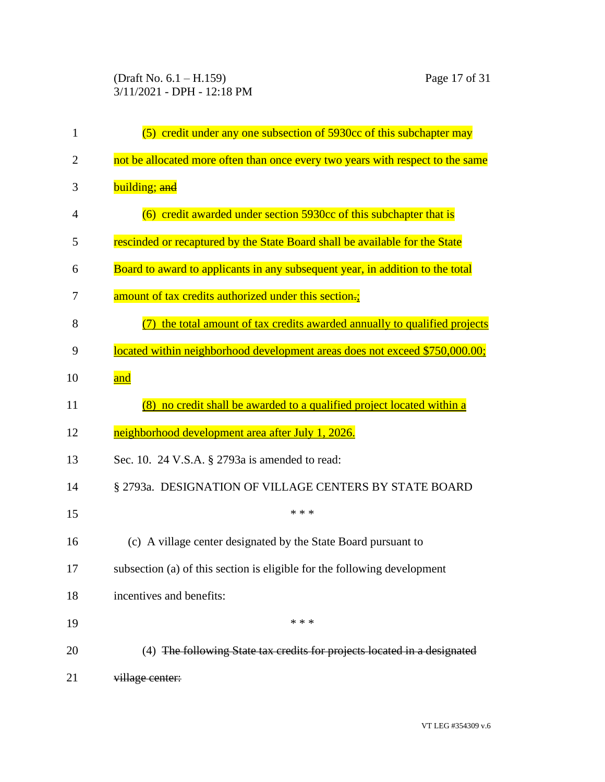(Draft No. 6.1 – H.159) Page 17 of 31 3/11/2021 - DPH - 12:18 PM

| $\mathbf{1}$   | (5) credit under any one subsection of 5930cc of this subchapter may           |
|----------------|--------------------------------------------------------------------------------|
| $\overline{2}$ | not be allocated more often than once every two years with respect to the same |
| 3              | building; and                                                                  |
| $\overline{4}$ | (6) credit awarded under section 5930cc of this subchapter that is             |
| 5              | rescinded or recaptured by the State Board shall be available for the State    |
| 6              | Board to award to applicants in any subsequent year, in addition to the total  |
| 7              | amount of tax credits authorized under this section.;                          |
| 8              | the total amount of tax credits awarded annually to qualified projects         |
| 9              | located within neighborhood development areas does not exceed \$750,000.00;    |
| 10             | and                                                                            |
| 11             | (8) no credit shall be awarded to a qualified project located within a         |
| 12             | neighborhood development area after July 1, 2026.                              |
| 13             | Sec. 10. 24 V.S.A. § 2793a is amended to read:                                 |
| 14             | § 2793a. DESIGNATION OF VILLAGE CENTERS BY STATE BOARD                         |
| 15             | * * *                                                                          |
| 16             | (c) A village center designated by the State Board pursuant to                 |
| 17             | subsection (a) of this section is eligible for the following development       |
| 18             | incentives and benefits:                                                       |
| 19             | * * *                                                                          |
| 20             | (4) The following State tax credits for projects located in a designated       |
| 21             | village center:                                                                |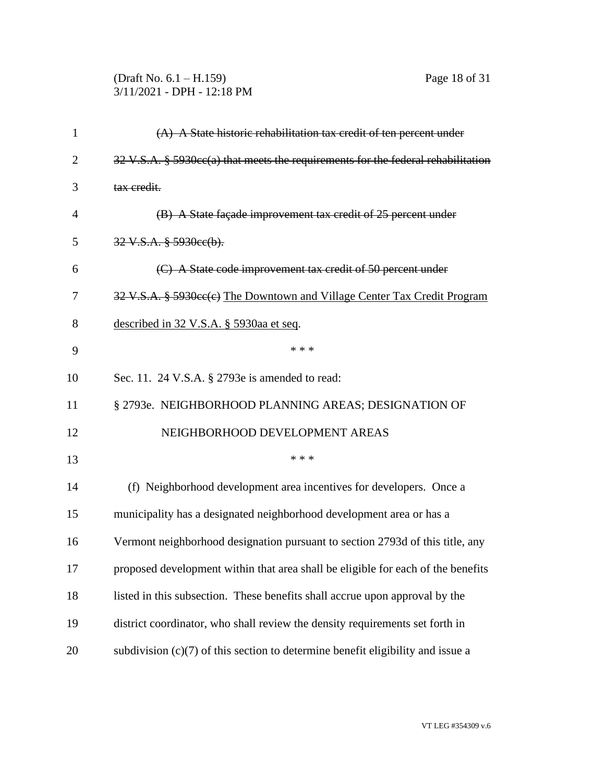| (Draft No. $6.1 - H.159$ ) |  |
|----------------------------|--|
| 3/11/2021 - DPH - 12:18 PM |  |

| $\mathbf{1}$   | $(A)$ A State historic rehabilitation tax credit of ten percent under                                 |
|----------------|-------------------------------------------------------------------------------------------------------|
| $\overline{2}$ | $32 \text{ V.S.A. }$ § $5930 \text{cc}(a)$ that meets the requirements for the federal rehabilitation |
| 3              | tax credit.                                                                                           |
| $\overline{4}$ | (B) A State façade improvement tax credit of 25 percent under                                         |
| 5              | $32 \text{ V.S.A. }$ $§$ 5930ee(b).                                                                   |
| 6              | (C) A State code improvement tax credit of 50 percent under                                           |
| 7              | 32 V.S.A. § 5930cc(e) The Downtown and Village Center Tax Credit Program                              |
| 8              | described in 32 V.S.A. § 5930aa et seq.                                                               |
| 9              | * * *                                                                                                 |
| 10             | Sec. 11. 24 V.S.A. § 2793e is amended to read:                                                        |
| 11             | § 2793e. NEIGHBORHOOD PLANNING AREAS; DESIGNATION OF                                                  |
| 12             | NEIGHBORHOOD DEVELOPMENT AREAS                                                                        |
| 13             | * * *                                                                                                 |
| 14             | (f) Neighborhood development area incentives for developers. Once a                                   |
| 15             | municipality has a designated neighborhood development area or has a                                  |
| 16             | Vermont neighborhood designation pursuant to section 2793d of this title, any                         |
| 17             | proposed development within that area shall be eligible for each of the benefits                      |
| 18             | listed in this subsection. These benefits shall accrue upon approval by the                           |
| 19             | district coordinator, who shall review the density requirements set forth in                          |
| 20             | subdivision $(c)(7)$ of this section to determine benefit eligibility and issue a                     |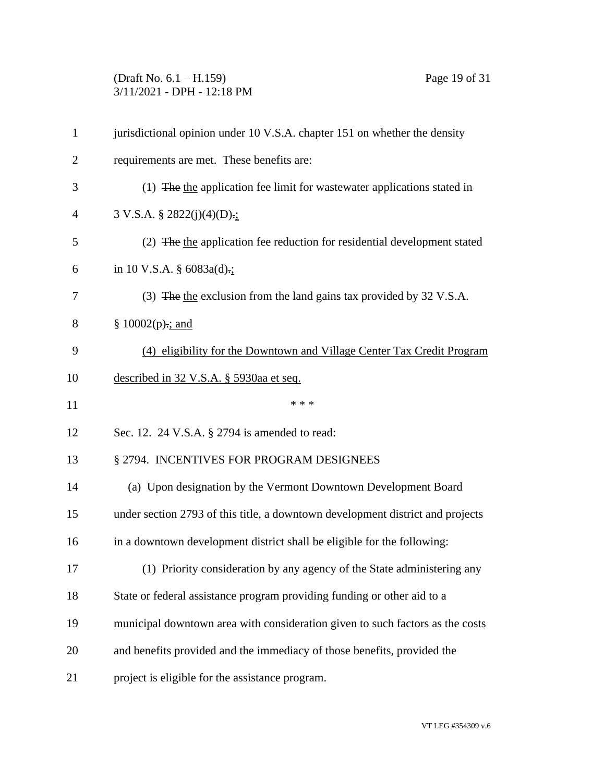# (Draft No. 6.1 – H.159) Page 19 of 31 3/11/2021 - DPH - 12:18 PM

| 1              | jurisdictional opinion under 10 V.S.A. chapter 151 on whether the density      |
|----------------|--------------------------------------------------------------------------------|
| $\overline{2}$ | requirements are met. These benefits are:                                      |
| 3              | (1) The the application fee limit for wastewater applications stated in        |
| $\overline{4}$ | $3 \text{ V.S.A. } § 2822(j)(4)(D)$ .                                          |
| 5              | (2) The the application fee reduction for residential development stated       |
| 6              | in 10 V.S.A. $\S$ 6083a(d).;                                                   |
| 7              | (3) The the exclusion from the land gains tax provided by 32 V.S.A.            |
| 8              | $§ 10002(p)$ ; and                                                             |
| 9              | (4) eligibility for the Downtown and Village Center Tax Credit Program         |
| 10             | described in 32 V.S.A. § 5930aa et seq.                                        |
| 11             | * * *                                                                          |
| 12             | Sec. 12. 24 V.S.A. § 2794 is amended to read:                                  |
| 13             | § 2794. INCENTIVES FOR PROGRAM DESIGNEES                                       |
| 14             | (a) Upon designation by the Vermont Downtown Development Board                 |
| 15             | under section 2793 of this title, a downtown development district and projects |
| 16             | in a downtown development district shall be eligible for the following:        |
| 17             | (1) Priority consideration by any agency of the State administering any        |
| 18             | State or federal assistance program providing funding or other aid to a        |
| 19             | municipal downtown area with consideration given to such factors as the costs  |
| 20             | and benefits provided and the immediacy of those benefits, provided the        |
| 21             | project is eligible for the assistance program.                                |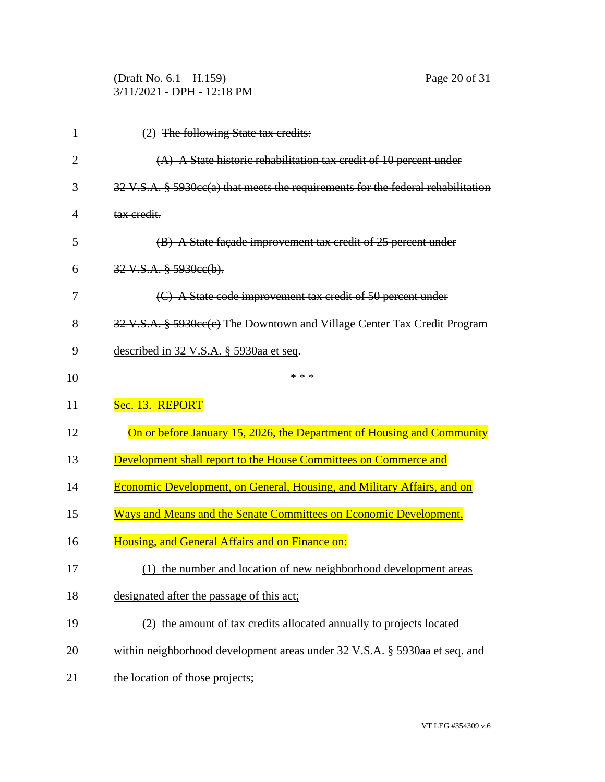|                | (Draft No. $6.1 - H.159$ )<br>Page 20 of 31<br>3/11/2021 - DPH - 12:18 PM        |
|----------------|----------------------------------------------------------------------------------|
| 1              | (2) The following State tax credits:                                             |
| $\overline{2}$ | $(A)$ A State historic rehabilitation tax credit of 10 percent under             |
| 3              | 32 V.S.A. § 5930cc(a) that meets the requirements for the federal rehabilitation |
| 4              | tax credit.                                                                      |
| 5              | (B) A State façade improvement tax credit of 25 percent under                    |
| 6              | $32 \text{ V.S.A. }$ $$ 5930 \text{ec(b)}.$                                      |
| 7              | (C) A State code improvement tax credit of 50 percent under                      |
| 8              | 32 V.S.A. § 5930cc(c) The Downtown and Village Center Tax Credit Program         |
| 9              | described in 32 V.S.A. § 5930aa et seq.                                          |
| 10             | * * *                                                                            |
| 11             | Sec. 13. REPORT                                                                  |
| 12             | On or before January 15, 2026, the Department of Housing and Community           |
| 13             | Development shall report to the House Committees on Commerce and                 |
| 14             | <b>Economic Development, on General, Housing, and Military Affairs, and on</b>   |
| 15             | Ways and Means and the Senate Committees on Economic Development,                |
| 16             | Housing, and General Affairs and on Finance on:                                  |
| 17             | (1) the number and location of new neighborhood development areas                |
| 18             | designated after the passage of this act;                                        |
| 19             | (2) the amount of tax credits allocated annually to projects located             |
| 20             | within neighborhood development areas under 32 V.S.A. § 5930aa et seq. and       |
| 21             | the location of those projects;                                                  |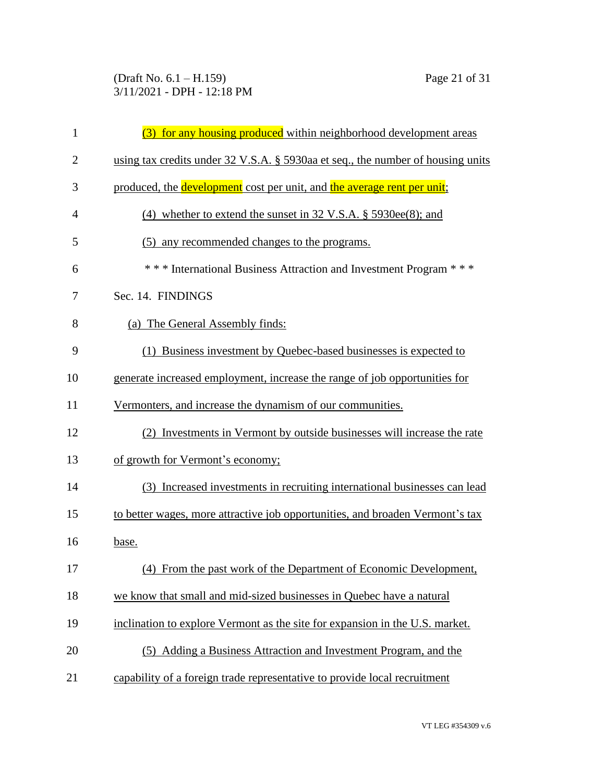### (Draft No. 6.1 – H.159) Page 21 of 31 3/11/2021 - DPH - 12:18 PM

| $\mathbf{1}$   | (3) for any housing produced within neighborhood development areas              |
|----------------|---------------------------------------------------------------------------------|
| $\overline{2}$ | using tax credits under 32 V.S.A. § 5930aa et seq., the number of housing units |
| 3              | produced, the development cost per unit, and the average rent per unit;         |
| 4              | (4) whether to extend the sunset in $32 \text{ V.S.A. }$ \$5930ee(8); and       |
| 5              | any recommended changes to the programs.<br>(5)                                 |
| 6              | *** International Business Attraction and Investment Program ***                |
| 7              | Sec. 14. FINDINGS                                                               |
| 8              | (a) The General Assembly finds:                                                 |
| 9              | (1) Business investment by Quebec-based businesses is expected to               |
| 10             | generate increased employment, increase the range of job opportunities for      |
| 11             | Vermonters, and increase the dynamism of our communities.                       |
| 12             | (2) Investments in Vermont by outside businesses will increase the rate         |
| 13             | of growth for Vermont's economy;                                                |
| 14             | (3) Increased investments in recruiting international businesses can lead       |
| 15             | to better wages, more attractive job opportunities, and broaden Vermont's tax   |
| 16             | base.                                                                           |
| 17             | (4) From the past work of the Department of Economic Development,               |
| 18             | we know that small and mid-sized businesses in Quebec have a natural            |
| 19             | inclination to explore Vermont as the site for expansion in the U.S. market.    |
| 20             | (5) Adding a Business Attraction and Investment Program, and the                |
| 21             | capability of a foreign trade representative to provide local recruitment       |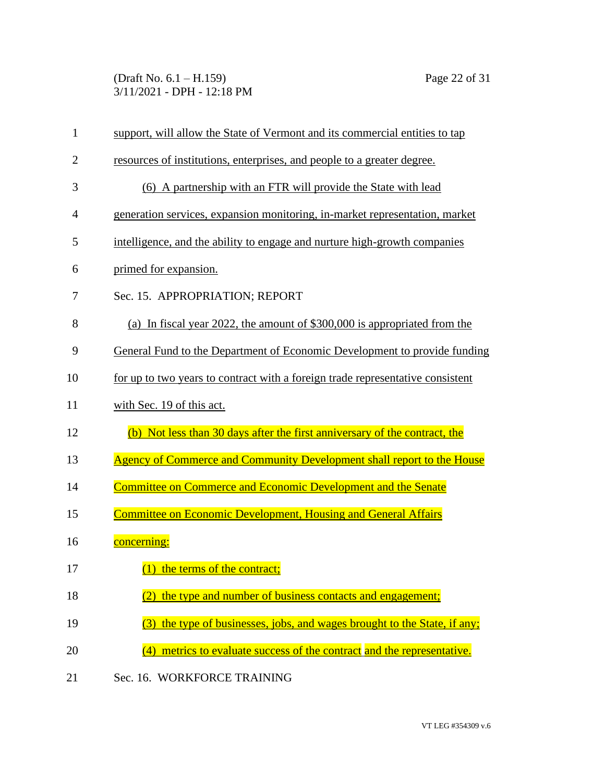(Draft No. 6.1 – H.159) Page 22 of 31 3/11/2021 - DPH - 12:18 PM

| $\mathbf{1}$   | support, will allow the State of Vermont and its commercial entities to tap    |
|----------------|--------------------------------------------------------------------------------|
| $\overline{2}$ | resources of institutions, enterprises, and people to a greater degree.        |
| 3              | (6) A partnership with an FTR will provide the State with lead                 |
| 4              | generation services, expansion monitoring, in-market representation, market    |
| 5              | intelligence, and the ability to engage and nurture high-growth companies      |
| 6              | primed for expansion.                                                          |
| 7              | Sec. 15. APPROPRIATION; REPORT                                                 |
| 8              | (a) In fiscal year 2022, the amount of \$300,000 is appropriated from the      |
| 9              | General Fund to the Department of Economic Development to provide funding      |
| 10             | for up to two years to contract with a foreign trade representative consistent |
| 11             | with Sec. 19 of this act.                                                      |
| 12             | (b) Not less than 30 days after the first anniversary of the contract, the     |
| 13             | Agency of Commerce and Community Development shall report to the House         |
| 14             | <b>Committee on Commerce and Economic Development and the Senate</b>           |
| 15             | <b>Committee on Economic Development, Housing and General Affairs</b>          |
| 16             | concerning:                                                                    |
| 17             | (1) the terms of the contract;                                                 |
| 18             | the type and number of business contacts and engagement;                       |
| 19             | the type of businesses, jobs, and wages brought to the State, if any;<br>(3)   |
| 20             | (4) metrics to evaluate success of the contract and the representative.        |
| 21             | Sec. 16. WORKFORCE TRAINING                                                    |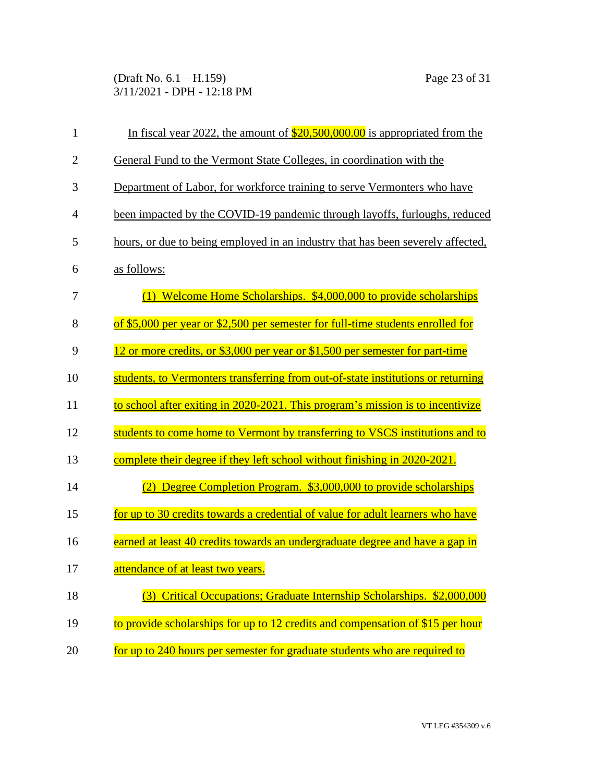(Draft No. 6.1 – H.159) Page 23 of 31 3/11/2021 - DPH - 12:18 PM

| $\mathbf{1}$   | In fiscal year 2022, the amount of $$20,500,000.00$ is appropriated from the     |
|----------------|----------------------------------------------------------------------------------|
| $\overline{2}$ | General Fund to the Vermont State Colleges, in coordination with the             |
| 3              | Department of Labor, for workforce training to serve Vermonters who have         |
| 4              | been impacted by the COVID-19 pandemic through layoffs, furloughs, reduced       |
| 5              | hours, or due to being employed in an industry that has been severely affected,  |
| 6              | as follows:                                                                      |
| 7              | (1) Welcome Home Scholarships. \$4,000,000 to provide scholarships               |
| 8              | of \$5,000 per year or \$2,500 per semester for full-time students enrolled for  |
| 9              | 12 or more credits, or \$3,000 per year or \$1,500 per semester for part-time    |
| 10             | students, to Vermonters transferring from out-of-state institutions or returning |
| 11             | to school after exiting in 2020-2021. This program's mission is to incentivize   |
| 12             | students to come home to Vermont by transferring to VSCS institutions and to     |
| 13             | complete their degree if they left school without finishing in 2020-2021.        |
| 14             | (2) Degree Completion Program. \$3,000,000 to provide scholarships               |
| 15             | for up to 30 credits towards a credential of value for adult learners who have   |
| 16             | earned at least 40 credits towards an undergraduate degree and have a gap in     |
| 17             | attendance of at least two years.                                                |
| 18             | Critical Occupations; Graduate Internship Scholarships. \$2,000,000<br>(3)       |
| 19             | to provide scholarships for up to 12 credits and compensation of \$15 per hour   |
| 20             | for up to 240 hours per semester for graduate students who are required to       |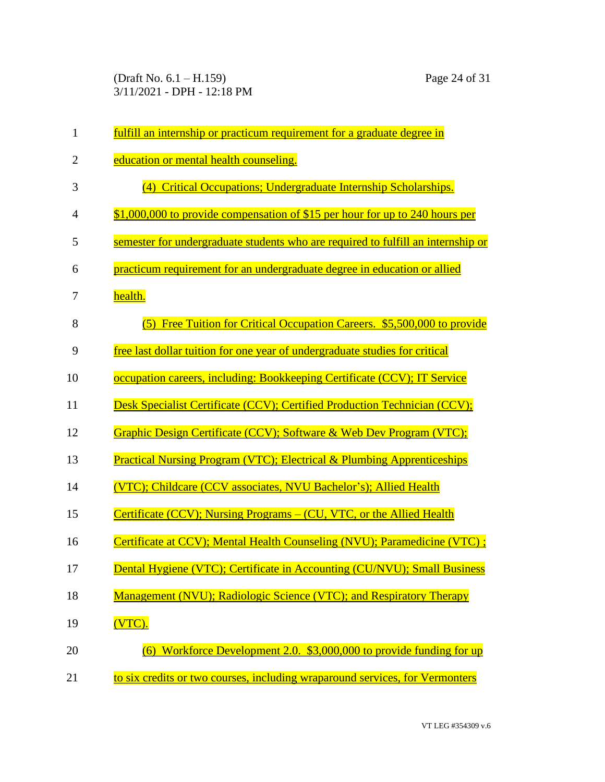(Draft No. 6.1 – H.159) Page 24 of 31 3/11/2021 - DPH - 12:18 PM

| $\mathbf{1}$   | fulfill an internship or practicum requirement for a graduate degree in           |
|----------------|-----------------------------------------------------------------------------------|
| $\overline{2}$ | education or mental health counseling.                                            |
| 3              | (4) Critical Occupations; Undergraduate Internship Scholarships.                  |
| $\overline{4}$ | \$1,000,000 to provide compensation of \$15 per hour for up to 240 hours per      |
| 5              | semester for undergraduate students who are required to fulfill an internship or  |
| 6              | practicum requirement for an undergraduate degree in education or allied          |
| 7              | health.                                                                           |
| 8              | Free Tuition for Critical Occupation Careers. \$5,500,000 to provide<br>(5)       |
| 9              | free last dollar tuition for one year of undergraduate studies for critical       |
| 10             | occupation careers, including: Bookkeeping Certificate (CCV); IT Service          |
| 11             | Desk Specialist Certificate (CCV); Certified Production Technician (CCV);         |
| 12             | Graphic Design Certificate (CCV); Software & Web Dev Program (VTC);               |
| 13             | <b>Practical Nursing Program (VTC); Electrical &amp; Plumbing Apprenticeships</b> |
| 14             | (VTC); Childcare (CCV associates, NVU Bachelor's); Allied Health                  |
| 15             | Certificate (CCV); Nursing Programs – (CU, VTC, or the Allied Health              |
| 16             | Certificate at CCV); Mental Health Counseling (NVU); Paramedicine (VTC);          |
| 17             | Dental Hygiene (VTC); Certificate in Accounting (CU/NVU); Small Business          |
| 18             | Management (NVU); Radiologic Science (VTC); and Respiratory Therapy               |
| 19             | (VTC).                                                                            |
| 20             | Workforce Development 2.0. \$3,000,000 to provide funding for up                  |
| 21             | to six credits or two courses, including wraparound services, for Vermonters      |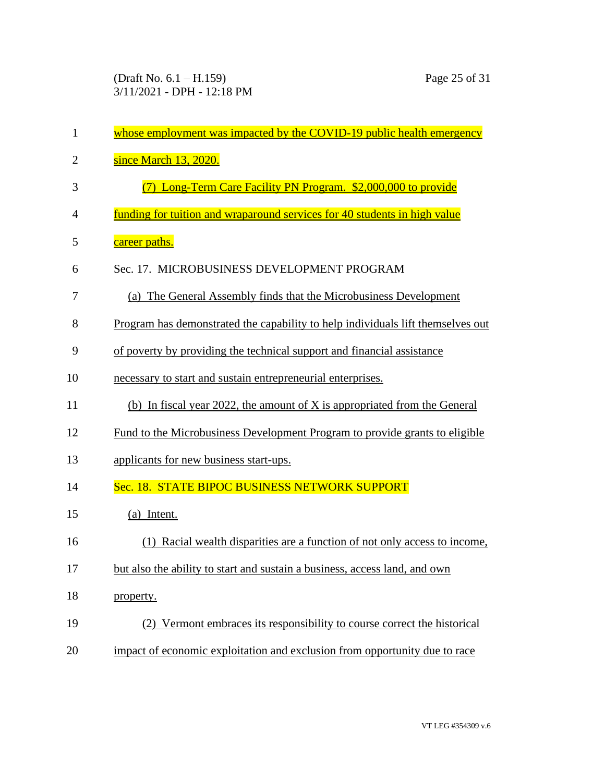| $\mathbf{1}$   | whose employment was impacted by the COVID-19 public health emergency           |
|----------------|---------------------------------------------------------------------------------|
| $\overline{2}$ | since March 13, 2020.                                                           |
| 3              | (7) Long-Term Care Facility PN Program. \$2,000,000 to provide                  |
| 4              | funding for tuition and wraparound services for 40 students in high value       |
| 5              | career paths.                                                                   |
| 6              | Sec. 17. MICROBUSINESS DEVELOPMENT PROGRAM                                      |
| 7              | (a) The General Assembly finds that the Microbusiness Development               |
| 8              | Program has demonstrated the capability to help individuals lift themselves out |
| 9              | of poverty by providing the technical support and financial assistance          |
| 10             | necessary to start and sustain entrepreneurial enterprises.                     |
| 11             | (b) In fiscal year 2022, the amount of X is appropriated from the General       |
| 12             | Fund to the Microbusiness Development Program to provide grants to eligible     |
| 13             | applicants for new business start-ups.                                          |
| 14             | Sec. 18. STATE BIPOC BUSINESS NETWORK SUPPORT                                   |
| 15             | (a) Intent.                                                                     |
| 16             | (1) Racial wealth disparities are a function of not only access to income,      |
| 17             | but also the ability to start and sustain a business, access land, and own      |
| 18             | property.                                                                       |
| 19             | (2) Vermont embraces its responsibility to course correct the historical        |
| 20             | impact of economic exploitation and exclusion from opportunity due to race      |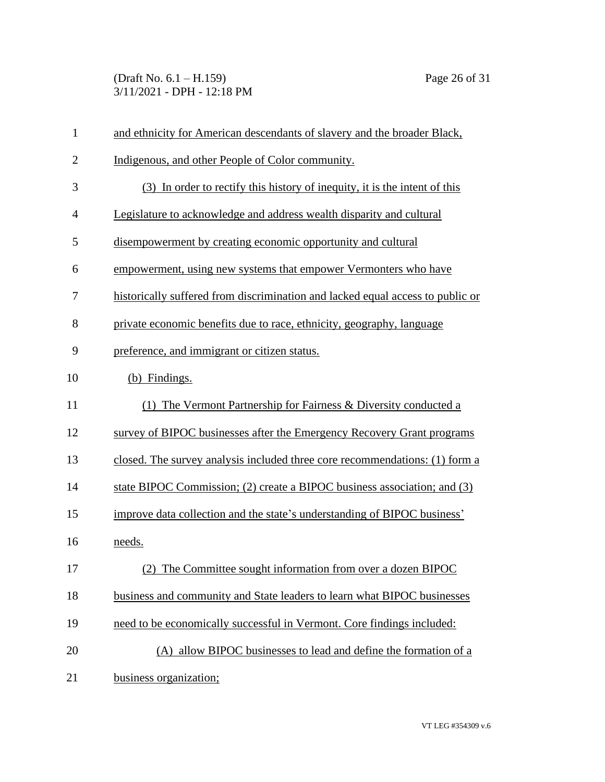(Draft No. 6.1 – H.159) Page 26 of 31 3/11/2021 - DPH - 12:18 PM

| $\mathbf{1}$   | and ethnicity for American descendants of slavery and the broader Black,       |  |  |
|----------------|--------------------------------------------------------------------------------|--|--|
| $\overline{2}$ | Indigenous, and other People of Color community.                               |  |  |
| 3              | (3) In order to rectify this history of inequity, it is the intent of this     |  |  |
| $\overline{4}$ | Legislature to acknowledge and address wealth disparity and cultural           |  |  |
| 5              | disempowerment by creating economic opportunity and cultural                   |  |  |
| 6              | empowerment, using new systems that empower Vermonters who have                |  |  |
| 7              | historically suffered from discrimination and lacked equal access to public or |  |  |
| 8              | private economic benefits due to race, ethnicity, geography, language          |  |  |
| 9              | preference, and immigrant or citizen status.                                   |  |  |
| 10             | (b) Findings.                                                                  |  |  |
| 11             | (1) The Vermont Partnership for Fairness & Diversity conducted a               |  |  |
| 12             | survey of BIPOC businesses after the Emergency Recovery Grant programs         |  |  |
| 13             | closed. The survey analysis included three core recommendations: (1) form a    |  |  |
| 14             | state BIPOC Commission; (2) create a BIPOC business association; and (3)       |  |  |
| 15             | improve data collection and the state's understanding of BIPOC business'       |  |  |
| 16             | needs.                                                                         |  |  |
| 17             | (2) The Committee sought information from over a dozen BIPOC                   |  |  |
| 18             | business and community and State leaders to learn what BIPOC businesses        |  |  |
| 19             | need to be economically successful in Vermont. Core findings included:         |  |  |
| 20             | (A) allow <b>BIPOC</b> businesses to lead and define the formation of a        |  |  |
| 21             | business organization;                                                         |  |  |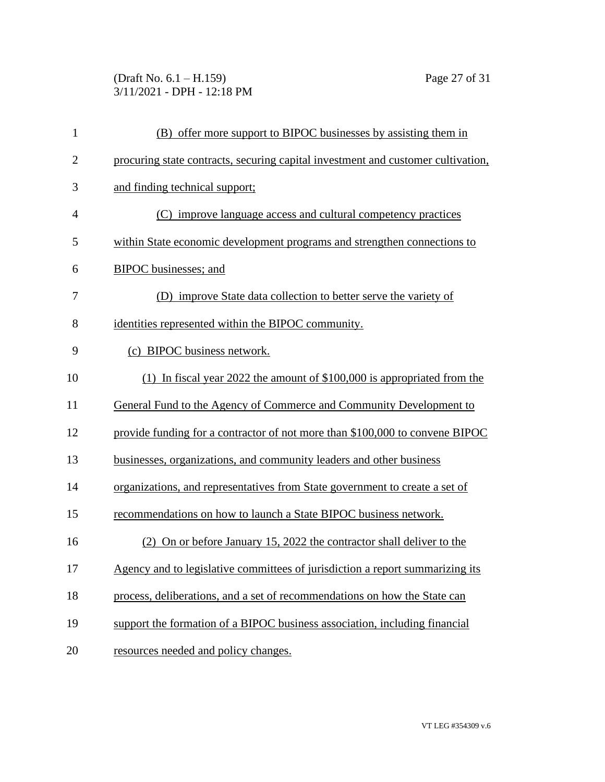(Draft No. 6.1 – H.159) Page 27 of 31 3/11/2021 - DPH - 12:18 PM

| $\mathbf{1}$   | (B) offer more support to BIPOC businesses by assisting them in                  |  |
|----------------|----------------------------------------------------------------------------------|--|
| $\overline{2}$ | procuring state contracts, securing capital investment and customer cultivation, |  |
| 3              | and finding technical support;                                                   |  |
| $\overline{4}$ | (C) improve language access and cultural competency practices                    |  |
| 5              | within State economic development programs and strengthen connections to         |  |
| 6              | BIPOC businesses; and                                                            |  |
| 7              | (D) improve State data collection to better serve the variety of                 |  |
| 8              | identities represented within the BIPOC community.                               |  |
| 9              | (c) BIPOC business network.                                                      |  |
| 10             | (1) In fiscal year 2022 the amount of $$100,000$ is appropriated from the        |  |
| 11             | General Fund to the Agency of Commerce and Community Development to              |  |
| 12             | provide funding for a contractor of not more than \$100,000 to convene BIPOC     |  |
| 13             | businesses, organizations, and community leaders and other business              |  |
| 14             | organizations, and representatives from State government to create a set of      |  |
| 15             | recommendations on how to launch a State BIPOC business network.                 |  |
| 16             | (2) On or before January 15, 2022 the contractor shall deliver to the            |  |
| 17             | Agency and to legislative committees of jurisdiction a report summarizing its    |  |
| 18             | process, deliberations, and a set of recommendations on how the State can        |  |
| 19             | support the formation of a BIPOC business association, including financial       |  |
| 20             | resources needed and policy changes.                                             |  |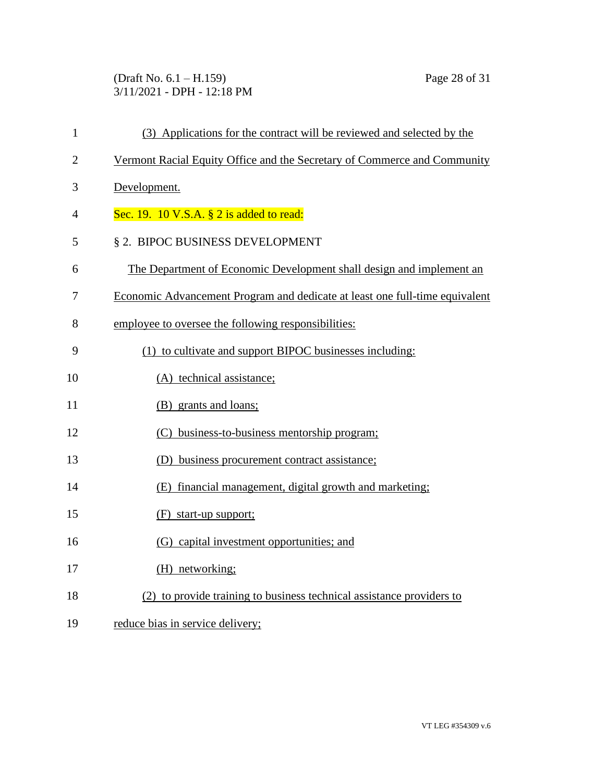(Draft No. 6.1 – H.159) Page 28 of 31 3/11/2021 - DPH - 12:18 PM

| $\mathbf{1}$   | (3) Applications for the contract will be reviewed and selected by the      |  |  |
|----------------|-----------------------------------------------------------------------------|--|--|
| $\overline{2}$ | Vermont Racial Equity Office and the Secretary of Commerce and Community    |  |  |
| 3              | Development.                                                                |  |  |
| 4              | Sec. 19. 10 V.S.A. $\S$ 2 is added to read:                                 |  |  |
| 5              | § 2. BIPOC BUSINESS DEVELOPMENT                                             |  |  |
| 6              | The Department of Economic Development shall design and implement an        |  |  |
| 7              | Economic Advancement Program and dedicate at least one full-time equivalent |  |  |
| 8              | employee to oversee the following responsibilities:                         |  |  |
| 9              | (1) to cultivate and support BIPOC businesses including:                    |  |  |
| 10             | (A) technical assistance;                                                   |  |  |
| 11             | (B) grants and loans;                                                       |  |  |
| 12             | (C) business-to-business mentorship program;                                |  |  |
| 13             | (D) business procurement contract assistance;                               |  |  |
| 14             | (E) financial management, digital growth and marketing;                     |  |  |
| 15             | $(F)$ start-up support;                                                     |  |  |
| 16             | (G) capital investment opportunities; and                                   |  |  |
| 17             | (H) networking;                                                             |  |  |
| 18             | (2) to provide training to business technical assistance providers to       |  |  |
| 19             | reduce bias in service delivery;                                            |  |  |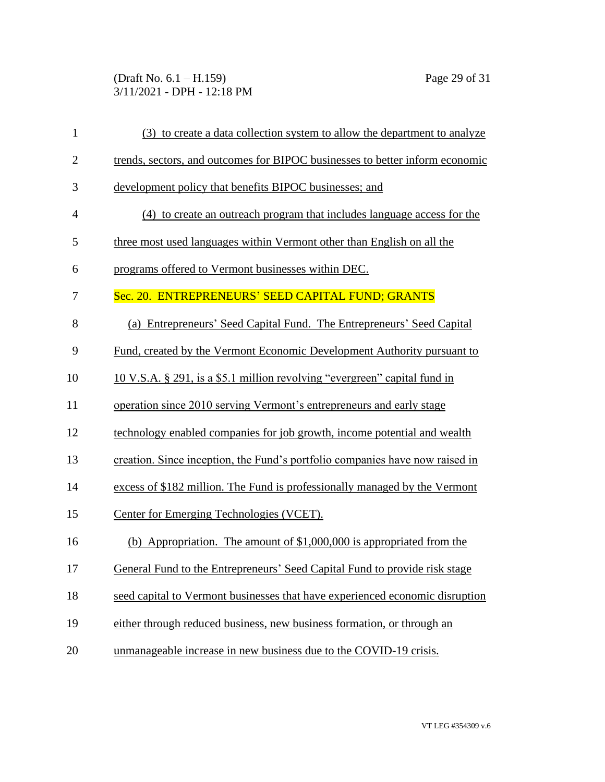### (Draft No. 6.1 – H.159) Page 29 of 31 3/11/2021 - DPH - 12:18 PM

| $\mathbf{1}$   | (3) to create a data collection system to allow the department to analyze    |  |
|----------------|------------------------------------------------------------------------------|--|
| $\mathbf{2}$   | trends, sectors, and outcomes for BIPOC businesses to better inform economic |  |
| 3              | development policy that benefits BIPOC businesses; and                       |  |
| $\overline{4}$ | (4) to create an outreach program that includes language access for the      |  |
| 5              | three most used languages within Vermont other than English on all the       |  |
| 6              | programs offered to Vermont businesses within DEC.                           |  |
| 7              | Sec. 20. ENTREPRENEURS' SEED CAPITAL FUND; GRANTS                            |  |
| 8              | (a) Entrepreneurs' Seed Capital Fund. The Entrepreneurs' Seed Capital        |  |
| 9              | Fund, created by the Vermont Economic Development Authority pursuant to      |  |
| 10             | 10 V.S.A. § 291, is a \$5.1 million revolving "evergreen" capital fund in    |  |
| 11             | operation since 2010 serving Vermont's entrepreneurs and early stage         |  |
| 12             | technology enabled companies for job growth, income potential and wealth     |  |
| 13             | creation. Since inception, the Fund's portfolio companies have now raised in |  |
| 14             | excess of \$182 million. The Fund is professionally managed by the Vermont   |  |
| 15             | Center for Emerging Technologies (VCET).                                     |  |
| 16             | (b) Appropriation. The amount of $$1,000,000$ is appropriated from the       |  |
| 17             | General Fund to the Entrepreneurs' Seed Capital Fund to provide risk stage   |  |
| 18             | seed capital to Vermont businesses that have experienced economic disruption |  |
| 19             | either through reduced business, new business formation, or through an       |  |
| 20             | unmanageable increase in new business due to the COVID-19 crisis.            |  |
|                |                                                                              |  |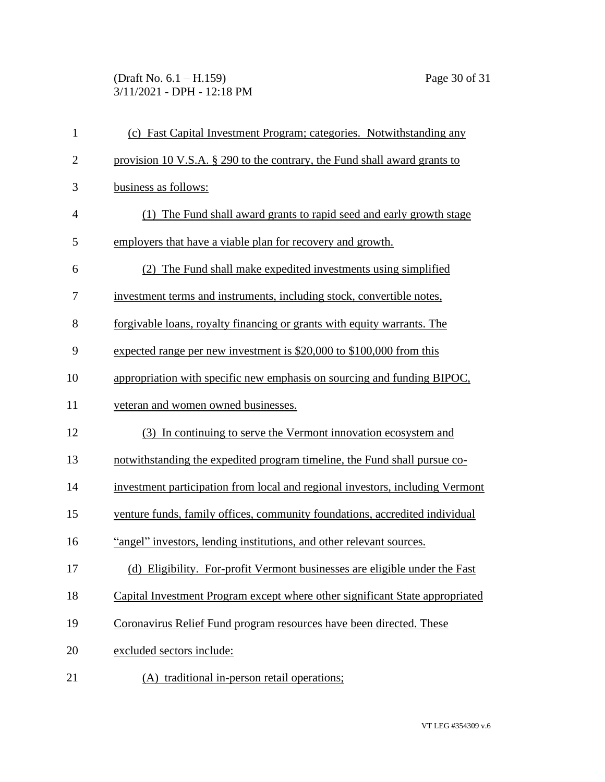(Draft No. 6.1 – H.159) Page 30 of 31 3/11/2021 - DPH - 12:18 PM

| $\mathbf{1}$   | (c) Fast Capital Investment Program; categories. Notwithstanding any          |
|----------------|-------------------------------------------------------------------------------|
| $\overline{2}$ | provision 10 V.S.A. § 290 to the contrary, the Fund shall award grants to     |
| 3              | business as follows:                                                          |
| $\overline{4}$ | The Fund shall award grants to rapid seed and early growth stage              |
| 5              | employers that have a viable plan for recovery and growth.                    |
| 6              | (2) The Fund shall make expedited investments using simplified                |
| 7              | investment terms and instruments, including stock, convertible notes,         |
| 8              | forgivable loans, royalty financing or grants with equity warrants. The       |
| 9              | expected range per new investment is \$20,000 to \$100,000 from this          |
| 10             | appropriation with specific new emphasis on sourcing and funding BIPOC,       |
| 11             | veteran and women owned businesses.                                           |
| 12             | (3) In continuing to serve the Vermont innovation ecosystem and               |
| 13             | notwithstanding the expedited program timeline, the Fund shall pursue co-     |
| 14             | investment participation from local and regional investors, including Vermont |
| 15             | venture funds, family offices, community foundations, accredited individual   |
| 16             | "angel" investors, lending institutions, and other relevant sources.          |
| 17             | (d) Eligibility. For-profit Vermont businesses are eligible under the Fast    |
| 18             | Capital Investment Program except where other significant State appropriated  |
| 19             | Coronavirus Relief Fund program resources have been directed. These           |
| 20             | excluded sectors include:                                                     |
| 21             | (A) traditional in-person retail operations;                                  |